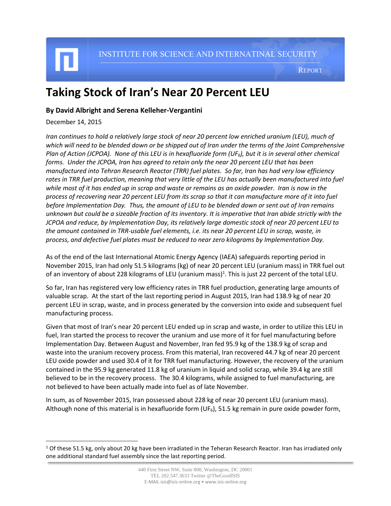l

INSTITUTE FOR SCIENCE AND INTERNATINAL SECURITY

REPORT

## **Taking Stock of Iran's Near 20 Percent LEU**

## **By David Albright and Serena Kelleher-Vergantini**

December 14, 2015

*Iran continues to hold a relatively large stock of near 20 percent low enriched uranium (LEU), much of which will need to be blended down or be shipped out of Iran under the terms of the Joint Comprehensive Plan of Action (JCPOA). None of this LEU is in hexafluoride form (UF6), but it is in several other chemical forms. Under the JCPOA, Iran has agreed to retain only the near 20 percent LEU that has been manufactured into Tehran Research Reactor (TRR) fuel plates. So far, Iran has had very low efficiency rates in TRR fuel production, meaning that very little of the LEU has actually been manufactured into fuel while most of it has ended up in scrap and waste or remains as an oxide powder. Iran is now in the process of recovering near 20 percent LEU from its scrap so that it can manufacture more of it into fuel before Implementation Day. Thus, the amount of LEU to be blended down or sent out of Iran remains unknown but could be a sizeable fraction of its inventory. It is imperative that Iran abide strictly with the JCPOA and reduce, by Implementation Day, its relatively large domestic stock of near 20 percent LEU to the amount contained in TRR-usable fuel elements, i.e. its near 20 percent LEU in scrap, waste, in process, and defective fuel plates must be reduced to near zero kilograms by Implementation Day.*

As of the end of the last International Atomic Energy Agency (IAEA) safeguards reporting period in November 2015, Iran had only 51.5 kilograms (kg) of near 20 percent LEU (uranium mass) in TRR fuel out of an inventory of about 228 kilograms of LEU (uranium mass)<sup>1</sup>. This is just 22 percent of the total LEU.

So far, Iran has registered very low efficiency rates in TRR fuel production, generating large amounts of valuable scrap. At the start of the last reporting period in August 2015, Iran had 138.9 kg of near 20 percent LEU in scrap, waste, and in process generated by the conversion into oxide and subsequent fuel manufacturing process.

Given that most of Iran's near 20 percent LEU ended up in scrap and waste, in order to utilize this LEU in fuel, Iran started the process to recover the uranium and use more of it for fuel manufacturing before Implementation Day. Between August and November, Iran fed 95.9 kg of the 138.9 kg of scrap and waste into the uranium recovery process. From this material, Iran recovered 44.7 kg of near 20 percent LEU oxide powder and used 30.4 of it for TRR fuel manufacturing. However, the recovery of the uranium contained in the 95.9 kg generated 11.8 kg of uranium in liquid and solid scrap, while 39.4 kg are still believed to be in the recovery process. The 30.4 kilograms, while assigned to fuel manufacturing, are not believed to have been actually made into fuel as of late November.

In sum, as of November 2015, Iran possessed about 228 kg of near 20 percent LEU (uranium mass). Although none of this material is in hexafluoride form (UF<sub>6</sub>), 51.5 kg remain in pure oxide powder form,

 $1$  Of these 51.5 kg, only about 20 kg have been irradiated in the Teheran Research Reactor. Iran has irradiated only one additional standard fuel assembly since the last reporting period.